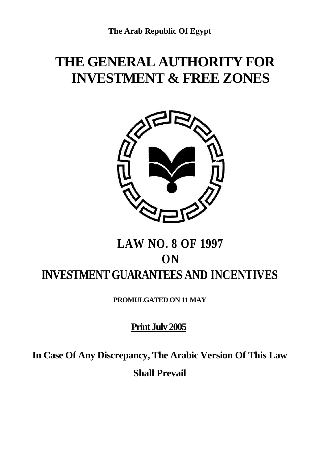# **THE GENERAL AUTHORITY FOR INVESTMENT & FREE ZONES**



# **LAW NO. 8 OF 1997 ON INVESTMENT GUARANTEES AND INCENTIVES**

**PROMULGATED ON 11 MAY**

## **Print July 2005**

**In Case Of Any Discrepancy, The Arabic Version Of This Law Shall Prevail**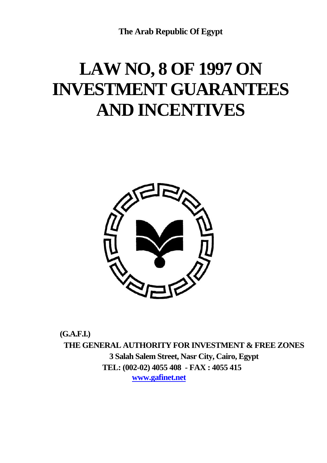**The Arab Republic Of Egypt**

# **LAW NO, 8 OF 1997 ON INVESTMENT GUARANTEES AND INCENTIVES**



**(G.A.F.I.) THE GENERAL AUTHORITY FOR INVESTMENT & FREE ZONES 3 Salah Salem Street, Nasr City, Cairo, Egypt TEL: (002-02) 4055 408 - FAX : 4055 415 www.gafinet.net**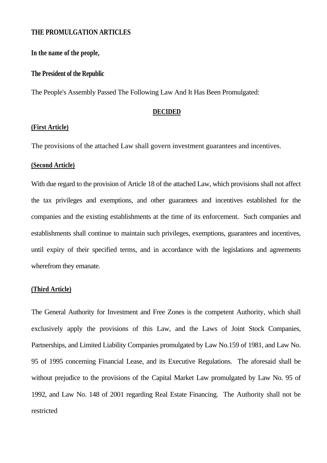## **THE PROMULGATION ARTICLES**

**In the name of the people,** 

#### **The President of the Republic**

The People's Assembly Passed The Following Law And It Has Been Promulgated:

#### **DECIDED**

## **(First Article)**

The provisions of the attached Law shall govern investment guarantees and incentives.

### **(Second Article)**

With due regard to the provision of Article 18 of the attached Law, which provisions shall not affect the tax privileges and exemptions, and other guarantees and incentives established for the companies and the existing establishments at the time of its enforcement. Such companies and establishments shall continue to maintain such privileges, exemptions, guarantees and incentives, until expiry of their specified terms, and in accordance with the legislations and agreements wherefrom they emanate.

## **(Third Article)**

The General Authority for Investment and Free Zones is the competent Authority, which shall exclusively apply the provisions of this Law, and the Laws of Joint Stock Companies, Partnerships, and Limited Liability Companies promulgated by Law No.159 of 1981, and Law No. 95 of 1995 concerning Financial Lease, and its Executive Regulations. The aforesaid shall be without prejudice to the provisions of the Capital Market Law promulgated by Law No. 95 of 1992, and Law No. 148 of 2001 regarding Real Estate Financing. The Authority shall not be restricted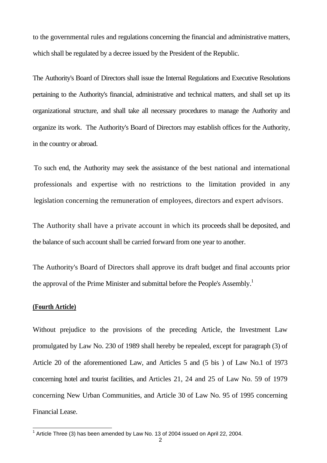to the governmental rules and regulations concerning the financial and administrative matters, which shall be regulated by a decree issued by the President of the Republic.

The Authority's Board of Directors shall issue the Internal Regulations and Executive Resolutions pertaining to the Authority's financial, administrative and technical matters, and shall set up its organizational structure, and shall take all necessary procedures to manage the Authority and organize its work. The Authority's Board of Directors may establish offices for the Authority, in the country or abroad.

To such end, the Authority may seek the assistance of the best national and international professionals and expertise with no restrictions to the limitation provided in any legislation concerning the remuneration of employees, directors and expert advisors.

The Authority shall have a private account in which its proceeds shall be deposited, and the balance of such account shall be carried forward from one year to another.

The Authority's Board of Directors shall approve its draft budget and final accounts prior the approval of the Prime Minister and submittal before the People's Assembly.<sup>1</sup>

#### **(Fourth Article)**

Without prejudice to the provisions of the preceding Article, the Investment Law promulgated by Law No. 230 of 1989 shall hereby be repealed, except for paragraph (3) of Article 20 of the aforementioned Law, and Articles 5 and (5 bis ) of Law No.1 of 1973 concerning hotel and tourist facilities, and Articles 21, 24 and 25 of Law No. 59 of 1979 concerning New Urban Communities, and Article 30 of Law No. 95 of 1995 concerning Financial Lease.

 1 Article Three (3) has been amended by Law No. 13 of 2004 issued on April 22, 2004.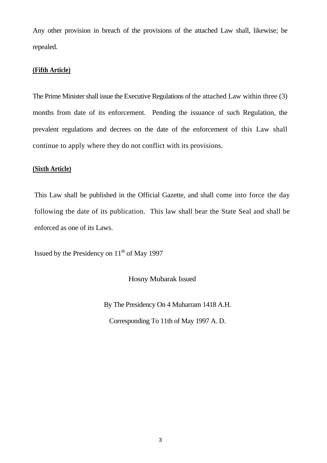Any other provision in breach of the provisions of the attached Law shall, likewise; be repealed.

## **(Fifth Article)**

The Prime Minister shall issue the Executive Regulations of the attached Law within three (3) months from date of its enforcement. Pending the issuance of such Regulation, the prevalent regulations and decrees on the date of the enforcement of this Law shall continue to apply where they do not conflict with its provisions.

## **(Sixth Article)**

This Law shall be published in the Official Gazette, and shall come into force the day following the date of its publication. This law shall bear the State Seal and shall be enforced as one of its Laws.

Issued by the Presidency on  $11<sup>th</sup>$  of May 1997

Hosny Mubarak Issued

By The Presidency On 4 Muharram 1418 A.H.

Corresponding To 11th of May 1997 A. D.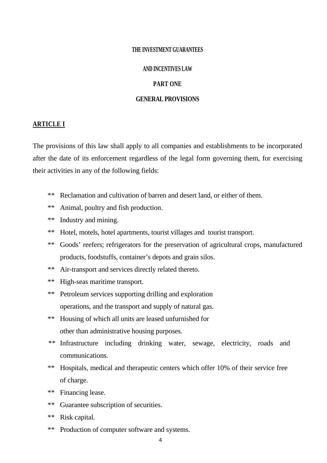#### **THE INVESTMENT GUARANTEES**

## **AND INCENTIVES LAW**

## **PART ONE**

#### **GENERAL PROVISIONS**

#### **ARTICLE I**

The provisions of this law shall apply to all companies and establishments to be incorporated after the date of its enforcement regardless of the legal form governing them, for exercising their activities in any of the following fields:

- \*\* Reclamation and cultivation of barren and desert land, or either of them.
- \*\* Animal, poultry and fish production.
- \*\* Industry and mining.
- \*\* Hotel, motels, hotel apartments, tourist villages and tourist transport.
- \*\* Goods' reefers; refrigerators for the preservation of agricultural crops, manufactured products, foodstuffs, container's depots and grain silos.
- \*\* Air-transport and services directly related thereto.
- \*\* High-seas maritime transport.
- \*\* Petroleum services supporting drilling and exploration operations, and the transport and supply of natural gas.
- \*\* Housing of which all units are leased unfurnished for other than administrative housing purposes.
- \*\* Infrastructure including drinking water, sewage, electricity, roads and communications.
- \*\* Hospitals, medical and therapeutic centers which offer 10% of their service free of charge.
- \*\* Financing lease.
- \*\* Guarantee subscription of securities.
- \*\* Risk capital.
- \*\* Production of computer software and systems.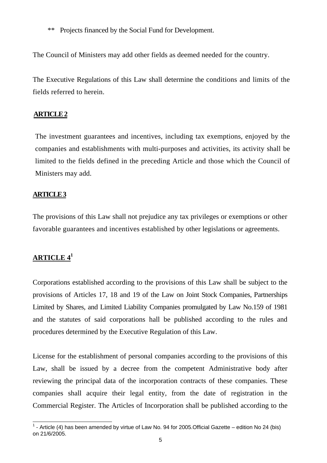\*\* Projects financed by the Social Fund for Development.

The Council of Ministers may add other fields as deemed needed for the country.

The Executive Regulations of this Law shall determine the conditions and limits of the fields referred to herein.

## **ARTICLE 2**

The investment guarantees and incentives, including tax exemptions, enjoyed by the companies and establishments with multi-purposes and activities, its activity shall be limited to the fields defined in the preceding Article and those which the Council of Ministers may add.

## **ARTICLE 3**

The provisions of this Law shall not prejudice any tax privileges or exemptions or other favorable guarantees and incentives established by other legislations or agreements.

## **ARTICLE 4<sup>1</sup>**

 $\overline{\phantom{a}}$ 

Corporations established according to the provisions of this Law shall be subject to the provisions of Articles 17, 18 and 19 of the Law on Joint Stock Companies, Partnerships Limited by Shares, and Limited Liability Companies promulgated by Law No.159 of 1981 and the statutes of said corporations hall be published according to the rules and procedures determined by the Executive Regulation of this Law.

License for the establishment of personal companies according to the provisions of this Law, shall be issued by a decree from the competent Administrative body after reviewing the principal data of the incorporation contracts of these companies. These companies shall acquire their legal entity, from the date of registration in the Commercial Register. The Articles of Incorporation shall be published according to the

 $<sup>1</sup>$  - Article (4) has been amended by virtue of Law No. 94 for 2005. Official Gazette – edition No 24 (bis)</sup> on 21/6/2005.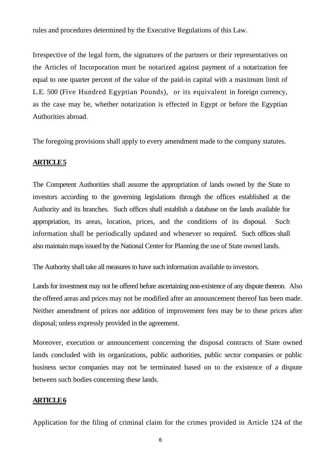rules and procedures determined by the Executive Regulations of this Law.

Irrespective of the legal form, the signatures of the partners or their representatives on the Articles of Incorporation must be notarized against payment of a notarization fee equal to one quarter percent of the value of the paid-in capital with a maximum limit of L.E. 500 (Five Hundred Egyptian Pounds), or its equivalent in foreign currency, as the case may be, whether notarization is effected in Egypt or before the Egyptian Authorities abroad.

The foregoing provisions shall apply to every amendment made to the company statutes.

## **ARTICLE 5**

The Competent Authorities shall assume the appropriation of lands owned by the State to investors according to the governing legislations through the offices established at the Authority and its branches. Such offices shall establish a database on the lands available for appropriation, its areas, location, prices, and the conditions of its disposal. Such information shall be periodically updated and whenever so required. Such offices shall also maintain maps issued by the National Center for Planning the use of State owned lands.

The Authority shall take all measures to have such information available to investors.

Lands for investment may not be offered before ascertaining non-existence of any dispute thereon. Also the offered areas and prices may not be modified after an announcement thereof has been made. Neither amendment of prices nor addition of improvement fees may be to these prices after disposal; unless expressly provided in the agreement.

Moreover, execution or announcement concerning the disposal contracts of State owned lands concluded with its organizations, public authorities, public sector companies or public business sector companies may not be terminated based on to the existence of a dispute between such bodies concerning these lands.

## **ARTICLE 6**

Application for the filing of criminal claim for the crimes provided in Article 124 of the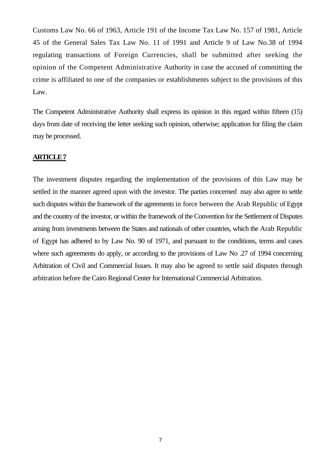Customs Law No. 66 of 1963, Article 191 of the Income Tax Law No. 157 of 1981, Article 45 of the General Sales Tax Law No. 11 of 1991 and Article 9 of Law No.38 of 1994 regulating transactions of Foreign Currencies, shall be submitted after seeking the opinion of the Competent Administrative Authority in case the accused of committing the crime is affiliated to one of the companies or establishments subject to the provisions of this Law.

The Competent Administrative Authority shall express its opinion in this regard within fifteen (15) days from date of receiving the letter seeking such opinion, otherwise; application for filing the claim may be processed.

## **ARTICLE 7**

The investment disputes regarding the implementation of the provisions of this Law may be settled in the manner agreed upon with the investor. The parties concerned may also agree to settle such disputes within the framework of the agreements in force between the Arab Republic of Egypt and the country of the investor, or within the framework of the Convention for the Settlement of Disputes arising from investments between the States and nationals of other countries, which the Arab Republic of Egypt has adhered to by Law No. 90 of 1971, and pursuant to the conditions, terms and cases where such agreements do apply, or according to the provisions of Law No .27 of 1994 concerning Arbitration of Civil and Commercial Issues. It may also be agreed to settle said disputes through arbitration before the Cairo Regional Center for International Commercial Arbitration.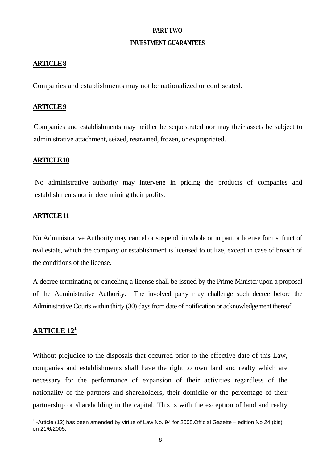## **PART TWO**

## **INVESTMENT GUARANTEES**

## **ARTICLE 8**

Companies and establishments may not be nationalized or confiscated.

#### **ARTICLE 9**

Companies and establishments may neither be sequestrated nor may their assets be subject to administrative attachment, seized, restrained, frozen, or expropriated.

#### **ARTICLE 10**

No administrative authority may intervene in pricing the products of companies and establishments nor in determining their profits.

## **ARTICLE 11**

No Administrative Authority may cancel or suspend, in whole or in part, a license for usufruct of real estate, which the company or establishment is licensed to utilize, except in case of breach of the conditions of the license.

A decree terminating or canceling a license shall be issued by the Prime Minister upon a proposal of the Administrative Authority. The involved party may challenge such decree before the Administrative Courts within thirty (30) days from date of notification or acknowledgement thereof.

## **ARTICLE 121**

Without prejudice to the disposals that occurred prior to the effective date of this Law, companies and establishments shall have the right to own land and realty which are necessary for the performance of expansion of their activities regardless of the nationality of the partners and shareholders, their domicile or the percentage of their partnership or shareholding in the capital. This is with the exception of land and realty

<sup>1&</sup>lt;br><sup>1</sup> -Article (12) has been amended by virtue of Law No. 94 for 2005.Official Gazette – edition No 24 (bis) on 21/6/2005.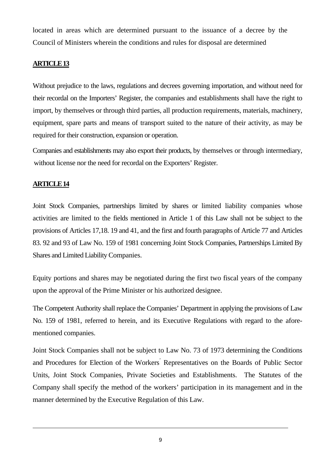located in areas which are determined pursuant to the issuance of a decree by the Council of Ministers wherein the conditions and rules for disposal are determined

## **ARTICLE 13**

Without prejudice to the laws, regulations and decrees governing importation, and without need for their recordal on the Importers' Register, the companies and establishments shall have the right to import, by themselves or through third parties, all production requirements, materials, machinery, equipment, spare parts and means of transport suited to the nature of their activity, as may be required for their construction, expansion or operation.

Companies and establishments may also export their products, by themselves or through intermediary, without license nor the need for recordal on the Exporters' Register.

## **ARTICLE 14**

1

Joint Stock Companies, partnerships limited by shares or limited liability companies whose activities are limited to the fields mentioned in Article 1 of this Law shall not be subject to the provisions of Articles 17,18. 19 and 41, and the first and fourth paragraphs of Article 77 and Articles 83. 92 and 93 of Law No. 159 of 1981 concerning Joint Stock Companies, Partnerships Limited By Shares and Limited Liability Companies.

Equity portions and shares may be negotiated during the first two fiscal years of the company upon the approval of the Prime Minister or his authorized designee.

The Competent Authority shall replace the Companies' Department in applying the provisions of Law No. 159 of 1981, referred to herein, and its Executive Regulations with regard to the aforementioned companies.

Joint Stock Companies shall not be subject to Law No. 73 of 1973 determining the Conditions and Procedures for Election of the Workers' Representatives on the Boards of Public Sector Units, Joint Stock Companies, Private Societies and Establishments. The Statutes of the Company shall specify the method of the workers' participation in its management and in the manner determined by the Executive Regulation of this Law.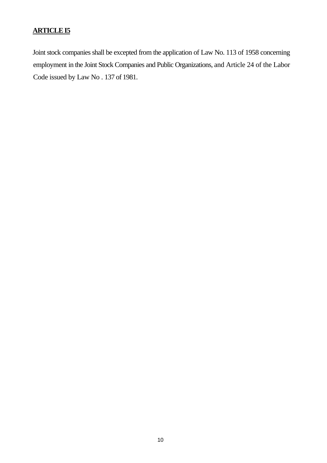## **ARTICLE I5**

Joint stock companies shall be excepted from the application of Law No. 113 of 1958 concerning employment in the Joint Stock Companies and Public Organizations, and Article 24 of the Labor Code issued by Law No . 137 of 1981.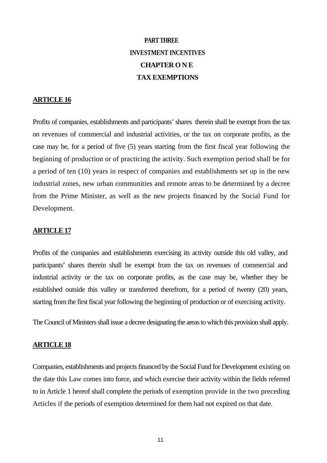## **PART THREE INVESTMENT INCENTIVES CHAPTER O N E TAX EXEMPTIONS**

## **ARTICLE 16**

Profits of companies, establishments and participants' shares therein shall be exempt from the tax on revenues of commercial and industrial activities, or the tax on corporate profits, as the case may be, for a period of five (5) years starting from the first fiscal year following the beginning of production or of practicing the activity. Such exemption period shall be for a period of ten (10) years in respect of companies and establishments set up in the new industrial zones, new urban communities and remote areas to be determined by a decree from the Prime Minister, as well as the new projects financed by the Social Fund for Development.

## **ARTICLE 17**

Profits of the companies and establishments exercising its activity outside this old valley, and participants' shares therein shall be exempt from the tax on revenues of commercial and industrial activity or the tax on corporate profits, as the case may be, whether they be established outside this valley or transferred therefrom, for a period of twenty (20) years, starting from the first fiscal year following the beginning of production or of exercising activity.

The Council of Ministers shall issue a decree designating the areas to which this provision shall apply.

#### **ARTICLE 18**

Companies, establishments and projects financed by the Social Fund for Development existing on the date this Law comes into force, and which exercise their activity within the fields referred to in Article 1 hereof shall complete the periods of exemption provide in the two preceding Articles if the periods of exemption determined for them had not expired on that date.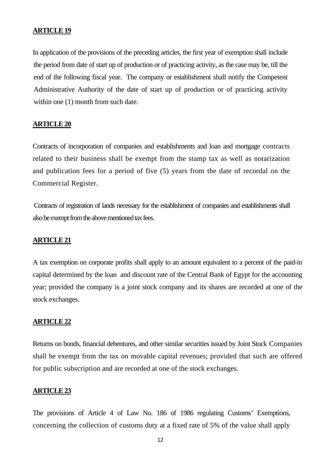In application of the provisions of the preceding articles, the first year of exemption shall include the period from date of start up of production or of practicing activity, as the case may be, till the end of the following fiscal year. The company or establishment shall notify the Competent Administrative Authority of the date of start up of production or of practicing activity within one  $(1)$  month from such date.

## **ARTICLE 20**

Contracts of incorporation of companies and establishments and loan and mortgage contracts related to their business shall be exempt from the stamp tax as well as notarization and publication fees for a period of five (5) years from the date of recordal on the Commercial Register.

 Contracts of registration of lands necessary for the establishment of companies and establishments shall also be exempt from the above mentioned tax fees.

#### **ARTICLE 21**

A tax exemption on corporate profits shall apply to an amount equivalent to a percent of the paid-in capital determined by the loan and discount rate of the Central Bank of Egypt for the accounting year; provided the company is a joint stock company and its shares are recorded at one of the stock exchanges.

#### **ARTICLE 22**

Returns on bonds, financial debentures, and other similar securities issued by Joint Stock Companies shall be exempt from the tax on movable capital revenues; provided that such are offered for public subscription and are recorded at one of the stock exchanges.

#### **ARTICLE 23**

The provisions of Article 4 of Law No. 186 of 1986 regulating Customs' Exemptions, concerning the collection of customs duty at a fixed rate of 5% of the value shall apply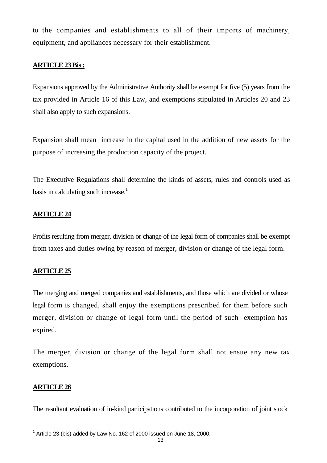to the companies and establishments to all of their imports of machinery, equipment, and appliances necessary for their establishment.

## **ARTICLE 23 Bis :**

Expansions approved by the Administrative Authority shall be exempt for five (5) years from the tax provided in Article 16 of this Law, and exemptions stipulated in Articles 20 and 23 shall also apply to such expansions.

Expansion shall mean increase in the capital used in the addition of new assets for the purpose of increasing the production capacity of the project.

The Executive Regulations shall determine the kinds of assets, rules and controls used as basis in calculating such increase.<sup>1</sup>

## **ARTICLE 24**

Profits resulting from merger, division or change of the legal form of companies shall be exempt from taxes and duties owing by reason of merger, division or change of the legal form.

## **ARTICLE 25**

The merging and merged companies and establishments, and those which are divided or whose legal form is changed, shall enjoy the exemptions prescribed for them before such merger, division or change of legal form until the period of such exemption has expired.

The merger, division or change of the legal form shall not ensue any new tax exemptions.

## **ARTICLE 26**

The resultant evaluation of in-kind participations contributed to the incorporation of joint stock

 1 Article 23 (bis) added by Law No. 162 of 2000 issued on June 18, 2000.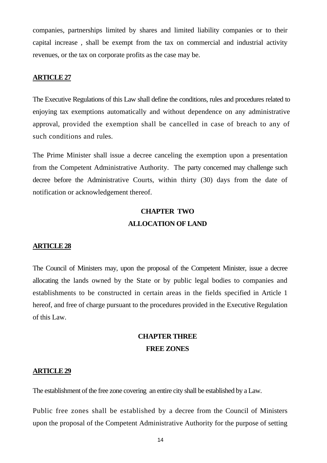companies, partnerships limited by shares and limited liability companies or to their capital increase , shall be exempt from the tax on commercial and industrial activity revenues, or the tax on corporate profits as the case may be.

## **ARTICLE 27**

The Executive Regulations of this Law shall define the conditions, rules and procedures related to enjoying tax exemptions automatically and without dependence on any administrative approval, provided the exemption shall be cancelled in case of breach to any of such conditions and rules.

The Prime Minister shall issue a decree canceling the exemption upon a presentation from the Competent Administrative Authority. The party concerned may challenge such decree before the Administrative Courts, within thirty (30) days from the date of notification or acknowledgement thereof.

## **CHAPTER TWO ALLOCATION OF LAND**

#### **ARTICLE 28**

The Council of Ministers may, upon the proposal of the Competent Minister, issue a decree allocating the lands owned by the State or by public legal bodies to companies and establishments to be constructed in certain areas in the fields specified in Article 1 hereof, and free of charge pursuant to the procedures provided in the Executive Regulation of this Law.

## **CHAPTER THREE FREE ZONES**

#### **ARTICLE 29**

The establishment of the free zone covering an entire city shall be established by a Law.

Public free zones shall be established by a decree from the Council of Ministers upon the proposal of the Competent Administrative Authority for the purpose of setting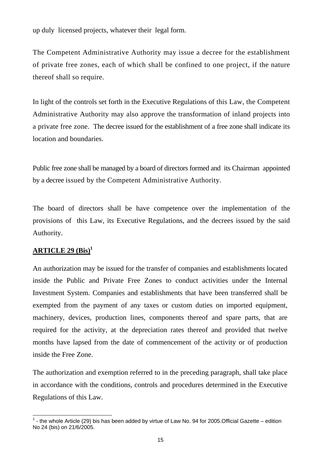up duly licensed projects, whatever their legal form.

The Competent Administrative Authority may issue a decree for the establishment of private free zones, each of which shall be confined to one project, if the nature thereof shall so require.

In light of the controls set forth in the Executive Regulations of this Law, the Competent Administrative Authority may also approve the transformation of inland projects into a private free zone. The decree issued for the establishment of a free zone shall indicate its location and boundaries.

Public free zone shall be managed by a board of directors formed and its Chairman appointed by a decree issued by the Competent Administrative Authority.

The board of directors shall be have competence over the implementation of the provisions of this Law, its Executive Regulations, and the decrees issued by the said Authority.

## **ARTICLE 29 (Bis)1**

l

An authorization may be issued for the transfer of companies and establishments located inside the Public and Private Free Zones to conduct activities under the Internal Investment System. Companies and establishments that have been transferred shall be exempted from the payment of any taxes or custom duties on imported equipment, machinery, devices, production lines, components thereof and spare parts, that are required for the activity, at the depreciation rates thereof and provided that twelve months have lapsed from the date of commencement of the activity or of production inside the Free Zone.

The authorization and exemption referred to in the preceding paragraph, shall take place in accordance with the conditions, controls and procedures determined in the Executive Regulations of this Law.

 $1$  - the whole Article (29) bis has been added by virtue of Law No. 94 for 2005. Official Gazette – edition No 24 (bis) on 21/6/2005.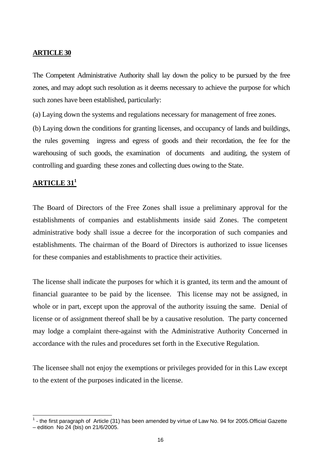The Competent Administrative Authority shall lay down the policy to be pursued by the free zones, and may adopt such resolution as it deems necessary to achieve the purpose for which such zones have been established, particularly:

(a) Laying down the systems and regulations necessary for management of free zones.

(b) Laying down the conditions for granting licenses, and occupancy of lands and buildings, the rules governing ingress and egress of goods and their recordation, the fee for the warehousing of such goods, the examination of documents and auditing, the system of controlling and guarding these zones and collecting dues owing to the State.

## **ARTICLE 311**

l

The Board of Directors of the Free Zones shall issue a preliminary approval for the establishments of companies and establishments inside said Zones. The competent administrative body shall issue a decree for the incorporation of such companies and establishments. The chairman of the Board of Directors is authorized to issue licenses for these companies and establishments to practice their activities.

The license shall indicate the purposes for which it is granted, its term and the amount of financial guarantee to be paid by the licensee. This license may not be assigned, in whole or in part, except upon the approval of the authority issuing the same. Denial of license or of assignment thereof shall be by a causative resolution. The party concerned may lodge a complaint there-against with the Administrative Authority Concerned in accordance with the rules and procedures set forth in the Executive Regulation.

The licensee shall not enjoy the exemptions or privileges provided for in this Law except to the extent of the purposes indicated in the license.

 $<sup>1</sup>$  - the first paragraph of Article (31) has been amended by virtue of Law No. 94 for 2005. Official Gazette</sup> – edition No 24 (bis) on  $21/6/2005$ .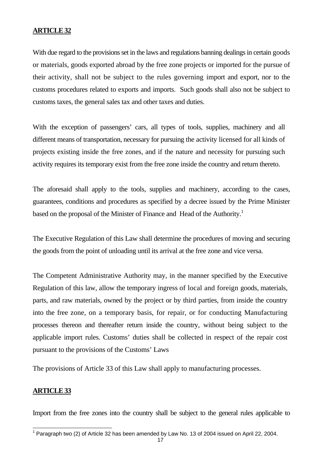With due regard to the provisions set in the laws and regulations banning dealings in certain goods or materials, goods exported abroad by the free zone projects or imported for the pursue of their activity, shall not be subject to the rules governing import and export, nor to the customs procedures related to exports and imports. Such goods shall also not be subject to customs taxes, the general sales tax and other taxes and duties.

With the exception of passengers' cars, all types of tools, supplies, machinery and all different means of transportation, necessary for pursuing the activity licensed for all kinds of projects existing inside the free zones, and if the nature and necessity for pursuing such activity requires its temporary exist from the free zone inside the country and return thereto.

The aforesaid shall apply to the tools, supplies and machinery, according to the cases, guarantees, conditions and procedures as specified by a decree issued by the Prime Minister based on the proposal of the Minister of Finance and Head of the Authority.<sup>1</sup>

The Executive Regulation of this Law shall determine the procedures of moving and securing the goods from the point of unloading until its arrival at the free zone and vice versa.

The Competent Administrative Authority may, in the manner specified by the Executive Regulation of this law, allow the temporary ingress of local and foreign goods, materials, parts, and raw materials, owned by the project or by third parties, from inside the country into the free zone, on a temporary basis, for repair, or for conducting Manufacturing processes thereon and thereafter return inside the country, without being subject to the applicable import rules. Customs' duties shall be collected in respect of the repair cost pursuant to the provisions of the Customs' Laws

The provisions of Article 33 of this Law shall apply to manufacturing processes.

#### **ARTICLE 33**

Import from the free zones into the country shall be subject to the general rules applicable to

 1 Paragraph two (2) of Article 32 has been amended by Law No. 13 of 2004 issued on April 22, 2004.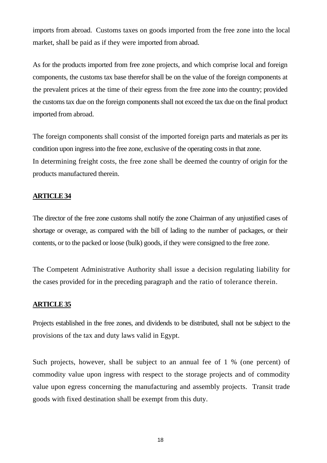imports from abroad. Customs taxes on goods imported from the free zone into the local market, shall be paid as if they were imported from abroad.

As for the products imported from free zone projects, and which comprise local and foreign components, the customs tax base therefor shall be on the value of the foreign components at the prevalent prices at the time of their egress from the free zone into the country; provided the customs tax due on the foreign components shall not exceed the tax due on the final product imported from abroad.

The foreign components shall consist of the imported foreign parts and materials as per its condition upon ingress into the free zone, exclusive of the operating costs in that zone. In determining freight costs, the free zone shall be deemed the country of origin for the products manufactured therein.

## **ARTICLE 34**

The director of the free zone customs shall notify the zone Chairman of any unjustified cases of shortage or overage, as compared with the bill of lading to the number of packages, or their contents, or to the packed or loose (bulk) goods, if they were consigned to the free zone.

The Competent Administrative Authority shall issue a decision regulating liability for the cases provided for in the preceding paragraph and the ratio of tolerance therein.

## **ARTICLE 35**

Projects established in the free zones, and dividends to be distributed, shall not be subject to the provisions of the tax and duty laws valid in Egypt.

Such projects, however, shall be subject to an annual fee of 1 % (one percent) of commodity value upon ingress with respect to the storage projects and of commodity value upon egress concerning the manufacturing and assembly projects. Transit trade goods with fixed destination shall be exempt from this duty.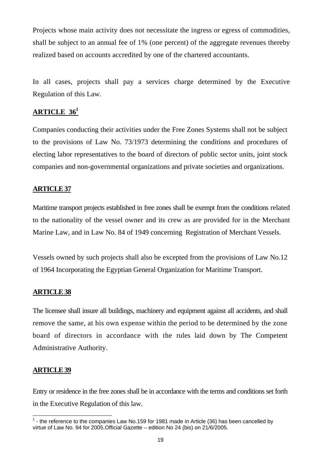Projects whose main activity does not necessitate the ingress or egress of commodities, shall be subject to an annual fee of 1% (one percent) of the aggregate revenues thereby realized based on accounts accredited by one of the chartered accountants.

In all cases, projects shall pay a services charge determined by the Executive Regulation of this Law.

## **ARTICLE 361**

Companies conducting their activities under the Free Zones Systems shall not be subject to the provisions of Law No. 73/1973 determining the conditions and procedures of electing labor representatives to the board of directors of public sector units, joint stock companies and non-governmental organizations and private societies and organizations.

## **ARTICLE 37**

Maritime transport projects established in free zones shall be exempt from the conditions related to the nationality of the vessel owner and its crew as are provided for in the Merchant Marine Law, and in Law No. 84 of 1949 concerning Registration of Merchant Vessels.

Vessels owned by such projects shall also be excepted from the provisions of Law No.12 of 1964 Incorporating the Egyptian General Organization for Maritime Transport.

## **ARTICLE 38**

The licensee shall insure all buildings, machinery and equipment against all accidents, and shall remove the same, at his own expense within the period to be determined by the zone board of directors in accordance with the rules laid down by The Competent Administrative Authority.

## **ARTICLE 39**

 $\overline{a}$ 

Entry or residence in the free zones shall be in accordance with the terms and conditions set forth in the Executive Regulation of this law.

 $<sup>1</sup>$  - the reference to the companies Law No.159 for 1981 made in Article (36) has been cancelled by</sup> virtue of Law No. 94 for 2005.Official Gazette – edition No 24 (bis) on 21/6/2005.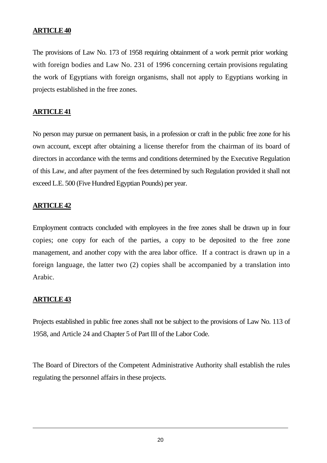The provisions of Law No. 173 of 1958 requiring obtainment of a work permit prior working with foreign bodies and Law No. 231 of 1996 concerning certain provisions regulating the work of Egyptians with foreign organisms, shall not apply to Egyptians working in projects established in the free zones.

## **ARTICLE 41**

No person may pursue on permanent basis, in a profession or craft in the public free zone for his own account, except after obtaining a license therefor from the chairman of its board of directors in accordance with the terms and conditions determined by the Executive Regulation of this Law, and after payment of the fees determined by such Regulation provided it shall not exceed L.E. 500 (Five Hundred Egyptian Pounds) per year.

## **ARTICLE 42**

Employment contracts concluded with employees in the free zones shall be drawn up in four copies; one copy for each of the parties, a copy to be deposited to the free zone management, and another copy with the area labor office. If a contract is drawn up in a foreign language, the latter two (2) copies shall be accompanied by a translation into Arabic.

## **ARTICLE 43**

1

Projects established in public free zones shall not be subject to the provisions of Law No. 113 of 1958, and Article 24 and Chapter 5 of Part III of the Labor Code.

The Board of Directors of the Competent Administrative Authority shall establish the rules regulating the personnel affairs in these projects.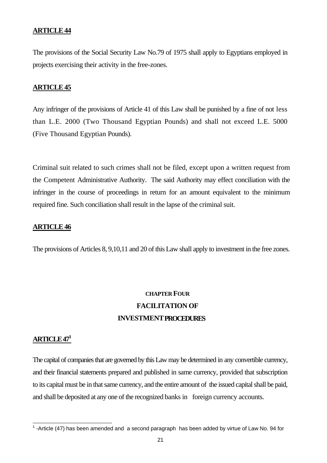The provisions of the Social Security Law No.79 of 1975 shall apply to Egyptians employed in projects exercising their activity in the free-zones.

## **ARTICLE 45**

Any infringer of the provisions of Article 41 of this Law shall be punished by a fine of not less than L.E. 2000 (Two Thousand Egyptian Pounds) and shall not exceed L.E. 5000 (Five Thousand Egyptian Pounds).

Criminal suit related to such crimes shall not be filed, except upon a written request from the Competent Administrative Authority. The said Authority may effect conciliation with the infringer in the course of proceedings in return for an amount equivalent to the minimum required fine. Such conciliation shall result in the lapse of the criminal suit.

## **ARTICLE 46**

The provisions of Articles 8, 9,10,11 and 20 of this Law shall apply to investment in the free zones.

## **CHAPTER FOUR FACILITATION OF INVESTMENT PROCEDURES**

## **ARTICLE 471**

The capital of companies that are governed by this Law may be determined in any convertible currency, and their financial statements prepared and published in same currency, provided that subscription to its capital must be in that same currency, and the entire amount of the issued capital shall be paid, and shall be deposited at any one of the recognized banks in foreign currency accounts.

The Latticle (47) has been amended and a second paragraph has been added by virtue of Law No. 94 for 1.<br>The Article (47) has been amended and a second paragraph has been added by virtue of Law No. 94 for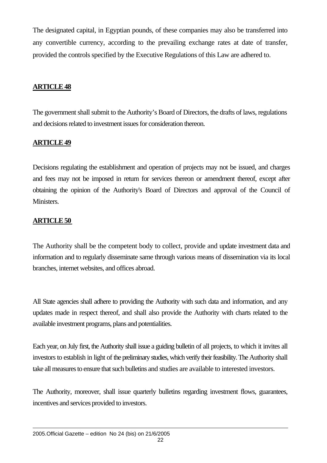The designated capital, in Egyptian pounds, of these companies may also be transferred into any convertible currency, according to the prevailing exchange rates at date of transfer, provided the controls specified by the Executive Regulations of this Law are adhered to.

## **ARTICLE 48**

The government shall submit to the Authority's Board of Directors, the drafts of laws, regulations and decisions related to investment issues for consideration thereon.

## **ARTICLE 49**

Decisions regulating the establishment and operation of projects may not be issued, and charges and fees may not be imposed in return for services thereon or amendment thereof, except after obtaining the opinion of the Authority's Board of Directors and approval of the Council of Ministers.

## **ARTICLE 50**

The Authority shall be the competent body to collect, provide and update investment data and information and to regularly disseminate same through various means of dissemination via its local branches, internet websites, and offices abroad.

All State agencies shall adhere to providing the Authority with such data and information, and any updates made in respect thereof, and shall also provide the Authority with charts related to the available investment programs, plans and potentialities.

Each year, on July first, the Authority shall issue a guiding bulletin of all projects, to which it invites all investors to establish in light of the preliminary studies, which verify their feasibility. The Authority shall take all measures to ensure that such bulletins and studies are available to interested investors.

The Authority, moreover, shall issue quarterly bulletins regarding investment flows, guarantees, incentives and services provided to investors.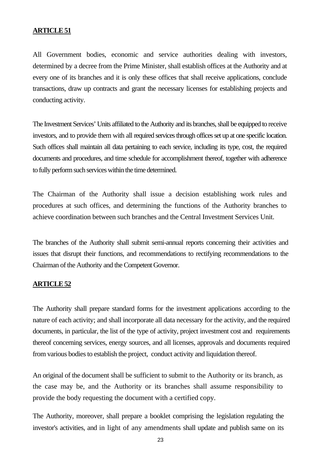All Government bodies, economic and service authorities dealing with investors, determined by a decree from the Prime Minister, shall establish offices at the Authority and at every one of its branches and it is only these offices that shall receive applications, conclude transactions, draw up contracts and grant the necessary licenses for establishing projects and conducting activity.

The Investment Services' Units affiliated to the Authority and its branches, shall be equipped to receive investors, and to provide them with all required services through offices set up at one specific location. Such offices shall maintain all data pertaining to each service, including its type, cost, the required documents and procedures, and time schedule for accomplishment thereof, together with adherence to fully perform such services within the time determined.

The Chairman of the Authority shall issue a decision establishing work rules and procedures at such offices, and determining the functions of the Authority branches to achieve coordination between such branches and the Central Investment Services Unit.

The branches of the Authority shall submit semi-annual reports concerning their activities and issues that disrupt their functions, and recommendations to rectifying recommendations to the Chairman of the Authority and the Competent Governor.

## **ARTICLE 52**

The Authority shall prepare standard forms for the investment applications according to the nature of each activity; and shall incorporate all data necessary for the activity, and the required documents, in particular, the list of the type of activity, project investment cost and requirements thereof concerning services, energy sources, and all licenses, approvals and documents required from various bodies to establish the project, conduct activity and liquidation thereof.

An original of the document shall be sufficient to submit to the Authority or its branch, as the case may be, and the Authority or its branches shall assume responsibility to provide the body requesting the document with a certified copy.

The Authority, moreover, shall prepare a booklet comprising the legislation regulating the investor's activities, and in light of any amendments shall update and publish same on its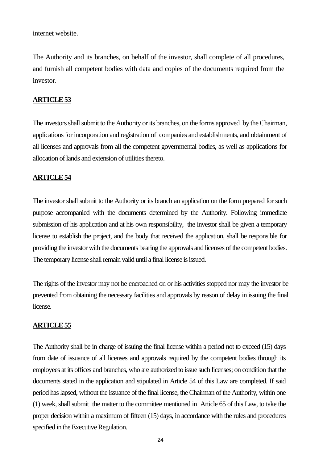internet website.

The Authority and its branches, on behalf of the investor, shall complete of all procedures, and furnish all competent bodies with data and copies of the documents required from the investor.

## **ARTICLE 53**

The investors shall submit to the Authority or its branches, on the forms approved by the Chairman, applications for incorporation and registration of companies and establishments, and obtainment of all licenses and approvals from all the competent governmental bodies, as well as applications for allocation of lands and extension of utilities thereto.

## **ARTICLE 54**

The investor shall submit to the Authority or its branch an application on the form prepared for such purpose accompanied with the documents determined by the Authority. Following immediate submission of his application and at his own responsibility, the investor shall be given a temporary license to establish the project, and the body that received the application, shall be responsible for providing the investor with the documents bearing the approvals and licenses of the competent bodies. The temporary license shall remain valid until a final license is issued.

The rights of the investor may not be encroached on or his activities stopped nor may the investor be prevented from obtaining the necessary facilities and approvals by reason of delay in issuing the final license.

## **ARTICLE 55**

The Authority shall be in charge of issuing the final license within a period not to exceed (15) days from date of issuance of all licenses and approvals required by the competent bodies through its employees at its offices and branches, who are authorized to issue such licenses; on condition that the documents stated in the application and stipulated in Article 54 of this Law are completed. If said period has lapsed, without the issuance of the final license, the Chairman of the Authority, within one (1) week, shall submit the matter to the committee mentioned in Article 65 of this Law, to take the proper decision within a maximum of fifteen (15) days, in accordance with the rules and procedures specified in the Executive Regulation.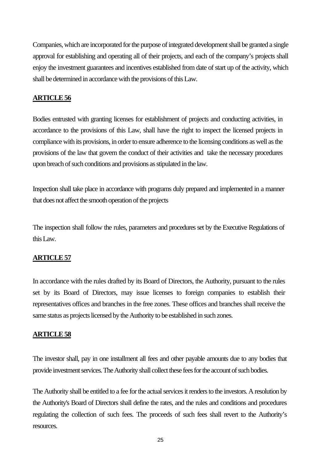Companies, which are incorporated for the purpose of integrated development shall be granted a single approval for establishing and operating all of their projects, and each of the company's projects shall enjoy the investment guarantees and incentives established from date of start up of the activity, which shall be determined in accordance with the provisions of this Law.

## **ARTICLE 56**

Bodies entrusted with granting licenses for establishment of projects and conducting activities, in accordance to the provisions of this Law, shall have the right to inspect the licensed projects in compliance with its provisions, in order to ensure adherence to the licensing conditions as well as the provisions of the law that govern the conduct of their activities and take the necessary procedures upon breach of such conditions and provisions as stipulated in the law.

Inspection shall take place in accordance with programs duly prepared and implemented in a manner that does not affect the smooth operation of the projects

The inspection shall follow the rules, parameters and procedures set by the Executive Regulations of this Law.

## **ARTICLE 57**

In accordance with the rules drafted by its Board of Directors, the Authority, pursuant to the rules set by its Board of Directors, may issue licenses to foreign companies to establish their representatives offices and branches in the free zones. These offices and branches shall receive the same status as projects licensed by the Authority to be established in such zones.

## **ARTICLE 58**

The investor shall, pay in one installment all fees and other payable amounts due to any bodies that provide investment services. The Authority shall collect these fees for the account of such bodies.

The Authority shall be entitled to a fee for the actual services it renders to the investors. A resolution by the Authority's Board of Directors shall define the rates, and the rules and conditions and procedures regulating the collection of such fees. The proceeds of such fees shall revert to the Authority's resources.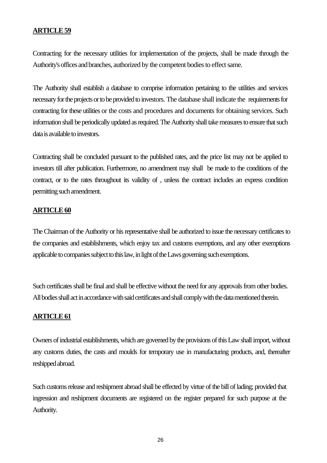Contracting for the necessary utilities for implementation of the projects, shall be made through the Authority's offices and branches, authorized by the competent bodies to effect same.

The Authority shall establish a database to comprise information pertaining to the utilities and services necessary for the projects or to be provided to investors. The database shall indicate the requirements for contracting for these utilities or the costs and procedures and documents for obtaining services. Such information shall be periodically updated as required. The Authority shall take measures to ensure that such data is available to investors.

Contracting shall be concluded pursuant to the published rates, and the price list may not be applied to investors till after publication. Furthermore, no amendment may shall be made to the conditions of the contract, or to the rates throughout its validity of , unless the contract includes an express condition permitting such amendment.

## **ARTICLE 60**

The Chairman of the Authority or his representative shall be authorized to issue the necessary certificates to the companies and establishments, which enjoy tax and customs exemptions, and any other exemptions applicable to companies subject to this law, in light of the Laws governing such exemptions.

Such certificates shall be final and shall be effective without the need for any approvals from other bodies. All bodies shall act in accordance with said certificates and shall comply with the data mentioned therein.

## **ARTICLE 61**

Owners of industrial establishments, which are governed by the provisions of this Law shall import, without any customs duties, the casts and moulds for temporary use in manufacturing products, and, thereafter reshipped abroad.

Such customs release and reshipment abroad shall be effected by virtue of the bill of lading; provided that ingression and reshipment documents are registered on the register prepared for such purpose at the Authority.

26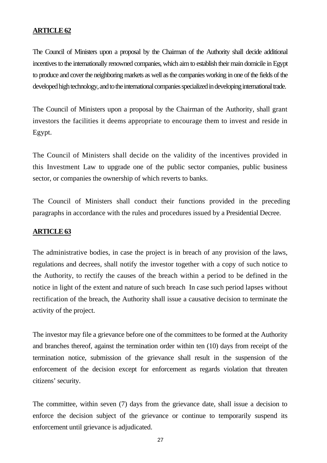The Council of Ministers upon a proposal by the Chairman of the Authority shall decide additional incentives to the internationally renowned companies, which aim to establish their main domicile in Egypt to produce and cover the neighboring markets as well as the companies working in one of the fields of the developed high technology, and to the international companies specialized in developing international trade.

The Council of Ministers upon a proposal by the Chairman of the Authority, shall grant investors the facilities it deems appropriate to encourage them to invest and reside in Egypt.

The Council of Ministers shall decide on the validity of the incentives provided in this Investment Law to upgrade one of the public sector companies, public business sector, or companies the ownership of which reverts to banks.

The Council of Ministers shall conduct their functions provided in the preceding paragraphs in accordance with the rules and procedures issued by a Presidential Decree.

## **ARTICLE 63**

The administrative bodies, in case the project is in breach of any provision of the laws, regulations and decrees, shall notify the investor together with a copy of such notice to the Authority, to rectify the causes of the breach within a period to be defined in the notice in light of the extent and nature of such breach In case such period lapses without rectification of the breach, the Authority shall issue a causative decision to terminate the activity of the project.

The investor may file a grievance before one of the committees to be formed at the Authority and branches thereof, against the termination order within ten (10) days from receipt of the termination notice, submission of the grievance shall result in the suspension of the enforcement of the decision except for enforcement as regards violation that threaten citizens' security.

The committee, within seven (7) days from the grievance date, shall issue a decision to enforce the decision subject of the grievance or continue to temporarily suspend its enforcement until grievance is adjudicated.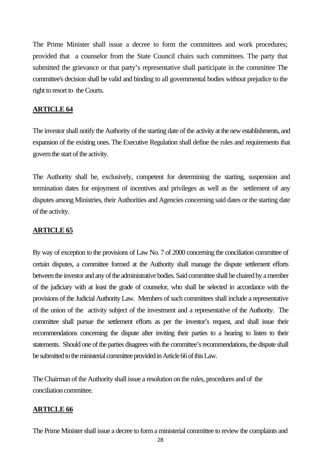The Prime Minister shall issue a decree to form the committees and work procedures; provided that a counselor from the State Council chairs such committees. The party that submitted the grievance or that party's representative shall participate in the committee The committee's decision shall be valid and binding to all governmental bodies without prejudice to the right to resort to the Courts.

## **ARTICLE 64**

The investor shall notify the Authority of the starting date of the activity at the new establishments, and expansion of the existing ones. The Executive Regulation shall define the rules and requirements that govern the start of the activity.

The Authority shall be, exclusively, competent for determining the starting, suspension and termination dates for enjoyment of incentives and privileges as well as the settlement of any disputes among Ministries, their Authorities and Agencies concerning said dates or the starting date of the activity.

## **ARTICLE 65**

By way of exception to the provisions of Law No. 7 of 2000 concerning the conciliation committee of certain disputes, a committee formed at the Authority shall manage the dispute settlement efforts between the investor and any of the administrative bodies. Said committee shall be chaired by a member of the judiciary with at least the grade of counselor, who shall be selected in accordance with the provisions of the Judicial Authority Law. Members of such committees shall include a representative of the union of the activity subject of the investment and a representative of the Authority. The committee shall pursue the settlement efforts as per the investor's request, and shall issue their recommendations concerning the dispute after inviting their parties to a hearing to listen to their statements. Should one of the parties disagrees with the committee's recommendations, the dispute shall be submitted to the ministerial committee provided in Article 66 of this Law.

The Chairman of the Authority shall issue a resolution on the rules, procedures and of the conciliation committee.

## **ARTICLE 66**

The Prime Minister shall issue a decree to form a ministerial committee to review the complaints and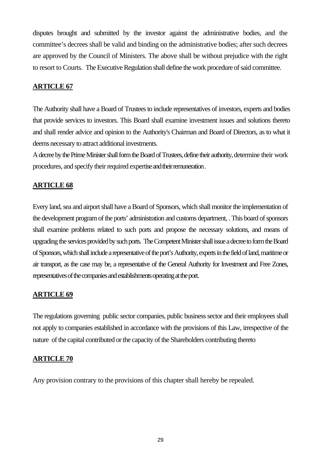disputes brought and submitted by the investor against the administrative bodies, and the committee's decrees shall be valid and binding on the administrative bodies; after such decrees are approved by the Council of Ministers. The above shall be without prejudice with the right to resort to Courts. The Executive Regulation shall define the work procedure of said committee.

## **ARTICLE 67**

The Authority shall have a Board of Trustees to include representatives of investors, experts and bodies that provide services to investors. This Board shall examine investment issues and solutions thereto and shall render advice and opinion to the Authority's Chairman and Board of Directors, as to what it deems necessary to attract additional investments.

A decree by the Prime Minister shall form the Board of Trustees, define their authority, determine their work procedures, and specify their required expertise and their remuneration .

## **ARTICLE 68**

Every land, sea and airport shall have a Board of Sponsors, which shall monitor the implementation of the development program of the ports' administration and customs department, . This board of sponsors shall examine problems related to such ports and propose the necessary solutions, and means of upgrading the services provided by such ports. The Competent Minister shall issue a decree to form the Board of Sponsors, which shall include a representative of the port's Authority, experts in the field of land, maritime or air transport, as the case may be, a representative of the General Authority for Investment and Free Zones, representatives of the companies and establishments operating at the port.

## **ARTICLE 69**

The regulations governing public sector companies, public business sector and their employees shall not apply to companies established in accordance with the provisions of this Law, irrespective of the nature of the capital contributed or the capacity of the Shareholders contributing thereto

## **ARTICLE 70**

Any provision contrary to the provisions of this chapter shall hereby be repealed.